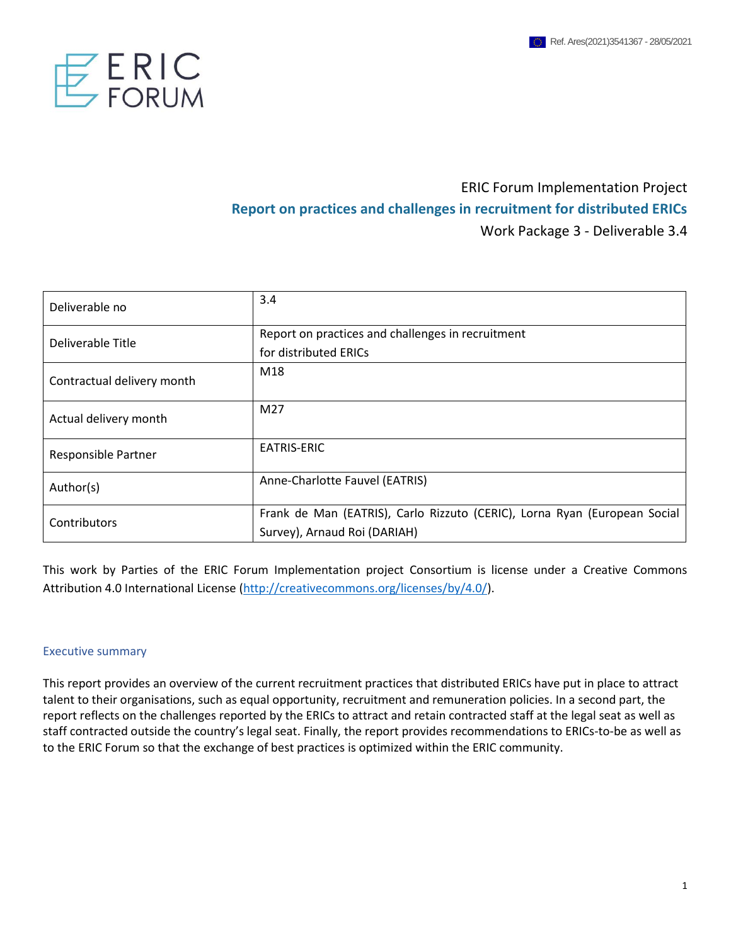

# ERIC Forum Implementation Project **Report on practices and challenges in recruitment for distributed ERICs** Work Package 3 - Deliverable 3.4

| Deliverable no             | 3.4                                                                       |
|----------------------------|---------------------------------------------------------------------------|
| Deliverable Title          | Report on practices and challenges in recruitment                         |
|                            | for distributed ERICs                                                     |
| Contractual delivery month | M18                                                                       |
| Actual delivery month      | M27                                                                       |
| Responsible Partner        | EATRIS-ERIC                                                               |
| Author(s)                  | Anne-Charlotte Fauvel (EATRIS)                                            |
| Contributors               | Frank de Man (EATRIS), Carlo Rizzuto (CERIC), Lorna Ryan (European Social |
|                            | Survey), Arnaud Roi (DARIAH)                                              |

This work by Parties of the ERIC Forum Implementation project Consortium is license under a Creative Commons Attribution 4.0 International License [\(http://creativecommons.org/licenses/by/4.0/\)](http://creativecommons.org/licenses/by/4.0/).

#### Executive summary

This report provides an overview of the current recruitment practices that distributed ERICs have put in place to attract talent to their organisations, such as equal opportunity, recruitment and remuneration policies. In a second part, the report reflects on the challenges reported by the ERICs to attract and retain contracted staff at the legal seat as well as staff contracted outside the country's legal seat. Finally, the report provides recommendations to ERICs-to-be as well as to the ERIC Forum so that the exchange of best practices is optimized within the ERIC community.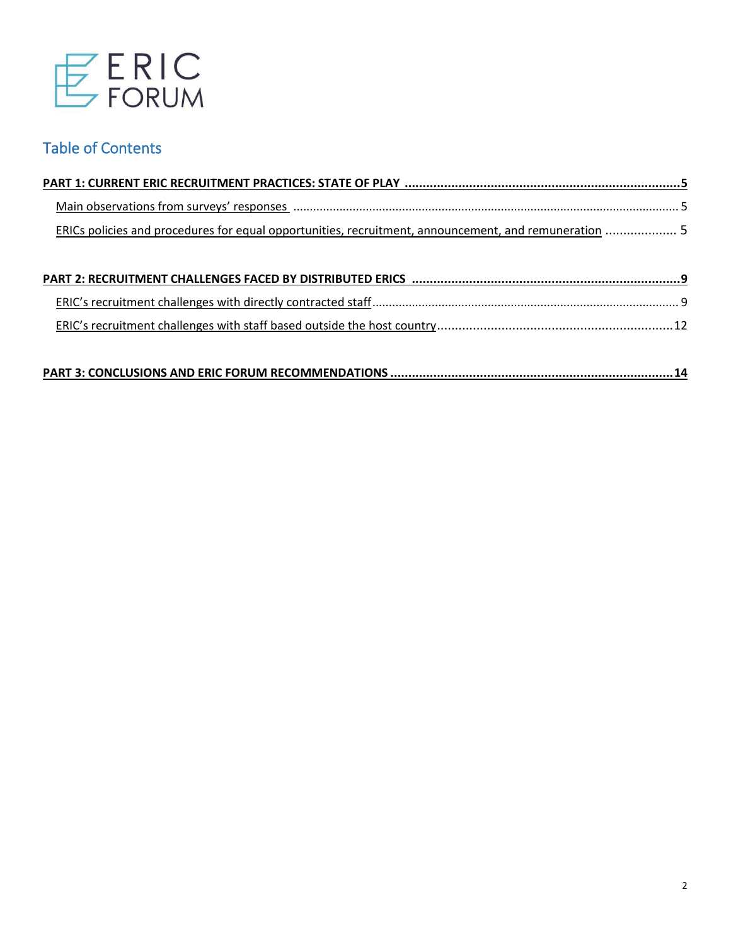

# Table of Contents

| ERICs policies and procedures for equal opportunities, recruitment, announcement, and remuneration  5 |  |
|-------------------------------------------------------------------------------------------------------|--|

|--|--|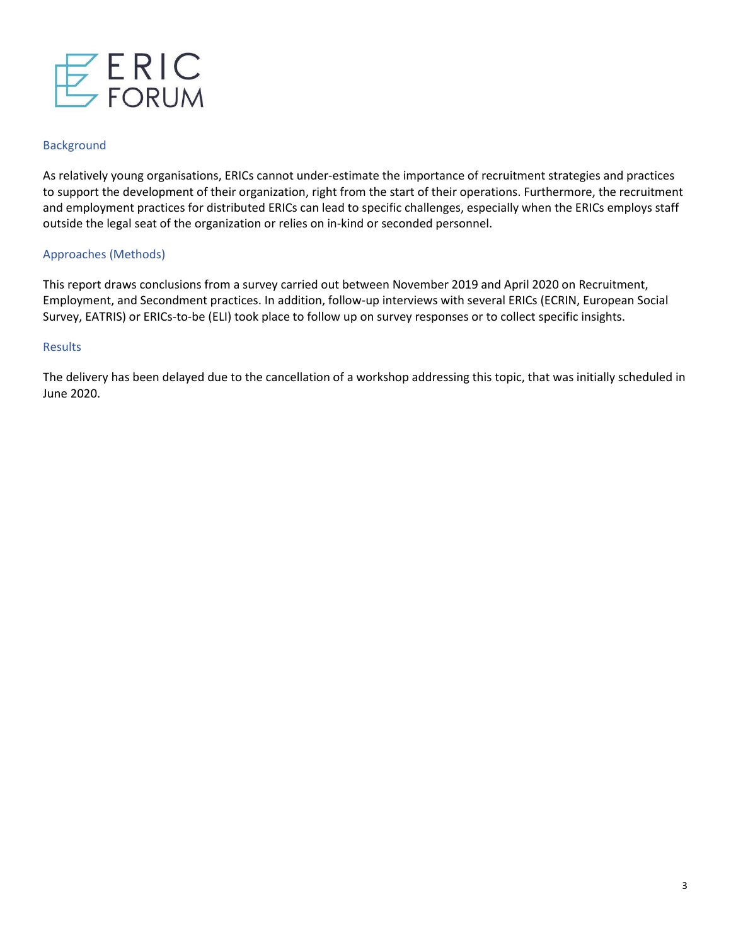

#### **Background**

As relatively young organisations, ERICs cannot under-estimate the importance of recruitment strategies and practices to support the development of their organization, right from the start of their operations. Furthermore, the recruitment and employment practices for distributed ERICs can lead to specific challenges, especially when the ERICs employs staff outside the legal seat of the organization or relies on in-kind or seconded personnel.

#### Approaches (Methods)

This report draws conclusions from a survey carried out between November 2019 and April 2020 on Recruitment, Employment, and Secondment practices. In addition, follow-up interviews with several ERICs (ECRIN, European Social Survey, EATRIS) or ERICs-to-be (ELI) took place to follow up on survey responses or to collect specific insights.

#### Results

The delivery has been delayed due to the cancellation of a workshop addressing this topic, that was initially scheduled in June 2020.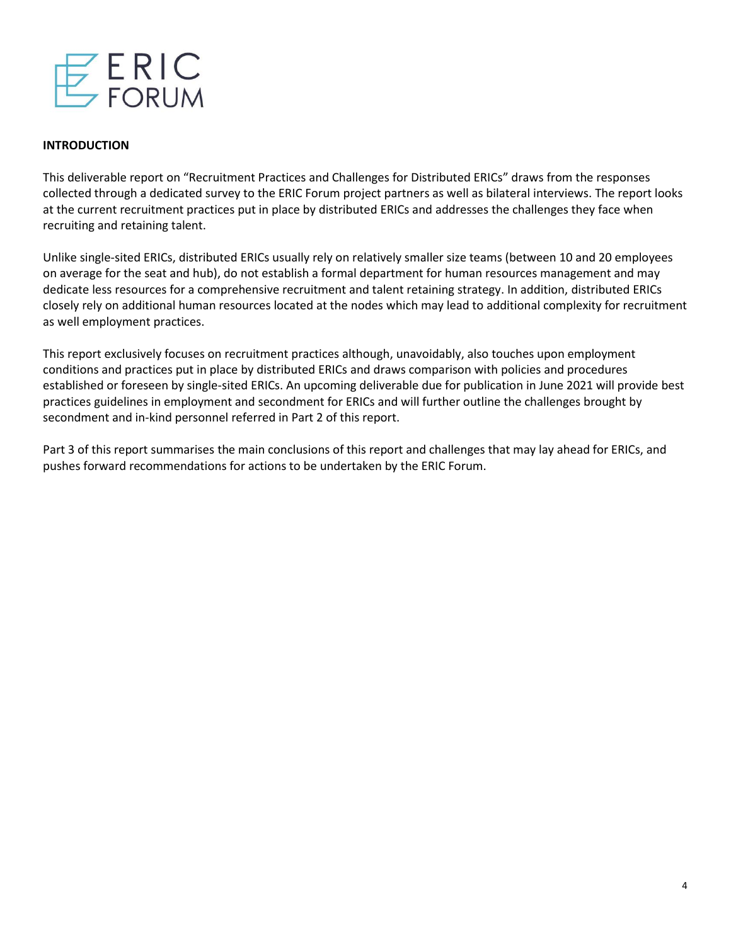

#### **INTRODUCTION**

This deliverable report on "Recruitment Practices and Challenges for Distributed ERICs" draws from the responses collected through a dedicated survey to the ERIC Forum project partners as well as bilateral interviews. The report looks at the current recruitment practices put in place by distributed ERICs and addresses the challenges they face when recruiting and retaining talent.

Unlike single-sited ERICs, distributed ERICs usually rely on relatively smaller size teams (between 10 and 20 employees on average for the seat and hub), do not establish a formal department for human resources management and may dedicate less resources for a comprehensive recruitment and talent retaining strategy. In addition, distributed ERICs closely rely on additional human resources located at the nodes which may lead to additional complexity for recruitment as well employment practices.

This report exclusively focuses on recruitment practices although, unavoidably, also touches upon employment conditions and practices put in place by distributed ERICs and draws comparison with policies and procedures established or foreseen by single-sited ERICs. An upcoming deliverable due for publication in June 2021 will provide best practices guidelines in employment and secondment for ERICs and will further outline the challenges brought by secondment and in-kind personnel referred in Part 2 of this report.

Part 3 of this report summarises the main conclusions of this report and challenges that may lay ahead for ERICs, and pushes forward recommendations for actions to be undertaken by the ERIC Forum.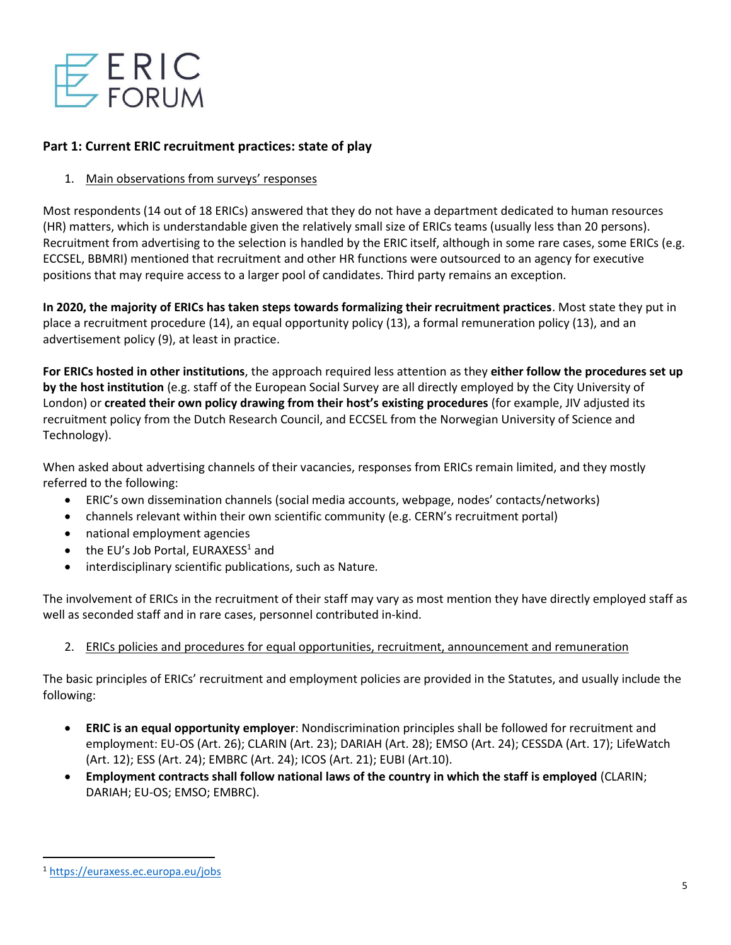

## **Part 1: Current ERIC recruitment practices: state of play**

### 1. Main observations from surveys' responses

Most respondents (14 out of 18 ERICs) answered that they do not have a department dedicated to human resources (HR) matters, which is understandable given the relatively small size of ERICs teams (usually less than 20 persons). Recruitment from advertising to the selection is handled by the ERIC itself, although in some rare cases, some ERICs (e.g. ECCSEL, BBMRI) mentioned that recruitment and other HR functions were outsourced to an agency for executive positions that may require access to a larger pool of candidates. Third party remains an exception.

**In 2020, the majority of ERICs has taken steps towards formalizing their recruitment practices**. Most state they put in place a recruitment procedure (14), an equal opportunity policy (13), a formal remuneration policy (13), and an advertisement policy (9), at least in practice.

**For ERICs hosted in other institutions**, the approach required less attention as they **either follow the procedures set up by the host institution** (e.g. staff of the European Social Survey are all directly employed by the City University of London) or **created their own policy drawing from their host's existing procedures** (for example, JIV adjusted its recruitment policy from the Dutch Research Council, and ECCSEL from the Norwegian University of Science and Technology).

When asked about advertising channels of their vacancies, responses from ERICs remain limited, and they mostly referred to the following:

- ERIC's own dissemination channels (social media accounts, webpage, nodes' contacts/networks)
- channels relevant within their own scientific community (e.g. CERN's recruitment portal)
- national employment agencies
- $\bullet$  the EU's Job Portal, EURAXESS<sup>1</sup> and
- interdisciplinary scientific publications, such as Nature.

The involvement of ERICs in the recruitment of their staff may vary as most mention they have directly employed staff as well as seconded staff and in rare cases, personnel contributed in-kind.

## 2. ERICs policies and procedures for equal opportunities, recruitment, announcement and remuneration

The basic principles of ERICs' recruitment and employment policies are provided in the Statutes, and usually include the following:

- **ERIC is an equal opportunity employer**: Nondiscrimination principles shall be followed for recruitment and employment: EU-OS (Art. 26); CLARIN (Art. 23); DARIAH (Art. 28); EMSO (Art. 24); CESSDA (Art. 17); LifeWatch (Art. 12); ESS (Art. 24); EMBRC (Art. 24); ICOS (Art. 21); EUBI (Art.10).
- **Employment contracts shall follow national laws of the country in which the staff is employed** (CLARIN; DARIAH; EU-OS; EMSO; EMBRC).

<sup>1</sup> <https://euraxess.ec.europa.eu/jobs>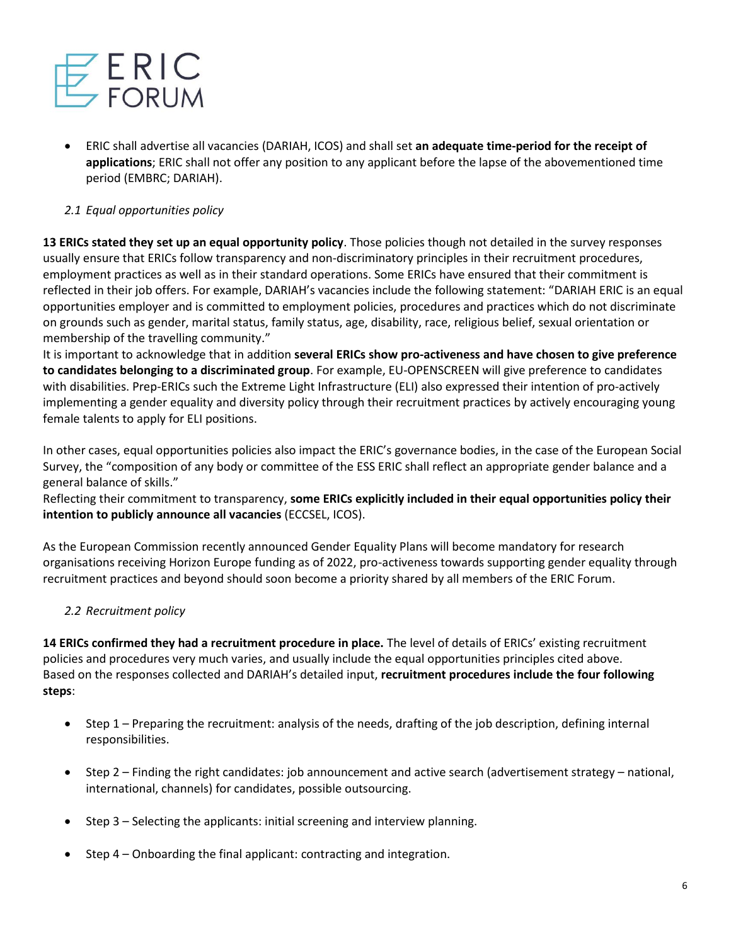

• ERIC shall advertise all vacancies (DARIAH, ICOS) and shall set **an adequate time-period for the receipt of applications**; ERIC shall not offer any position to any applicant before the lapse of the abovementioned time period (EMBRC; DARIAH).

# *2.1 Equal opportunities policy*

**13 ERICs stated they set up an equal opportunity policy**. Those policies though not detailed in the survey responses usually ensure that ERICs follow transparency and non-discriminatory principles in their recruitment procedures, employment practices as well as in their standard operations. Some ERICs have ensured that their commitment is reflected in their job offers. For example, DARIAH's vacancies include the following statement: "DARIAH ERIC is an equal opportunities employer and is committed to employment policies, procedures and practices which do not discriminate on grounds such as gender, marital status, family status, age, disability, race, religious belief, sexual orientation or membership of the travelling community."

It is important to acknowledge that in addition **several ERICs show pro-activeness and have chosen to give preference to candidates belonging to a discriminated group**. For example, EU-OPENSCREEN will give preference to candidates with disabilities. Prep-ERICs such the Extreme Light Infrastructure (ELI) also expressed their intention of pro-actively implementing a gender equality and diversity policy through their recruitment practices by actively encouraging young female talents to apply for ELI positions.

In other cases, equal opportunities policies also impact the ERIC's governance bodies, in the case of the European Social Survey, the "composition of any body or committee of the ESS ERIC shall reflect an appropriate gender balance and a general balance of skills."

Reflecting their commitment to transparency, **some ERICs explicitly included in their equal opportunities policy their intention to publicly announce all vacancies** (ECCSEL, ICOS).

As the European Commission recently announced Gender Equality Plans will become mandatory for research organisations receiving Horizon Europe funding as of 2022, pro-activeness towards supporting gender equality through recruitment practices and beyond should soon become a priority shared by all members of the ERIC Forum.

## *2.2 Recruitment policy*

**14 ERICs confirmed they had a recruitment procedure in place.** The level of details of ERICs' existing recruitment policies and procedures very much varies, and usually include the equal opportunities principles cited above. Based on the responses collected and DARIAH's detailed input, **recruitment procedures include the four following steps**:

- Step 1 Preparing the recruitment: analysis of the needs, drafting of the job description, defining internal responsibilities.
- Step 2 Finding the right candidates: job announcement and active search (advertisement strategy national, international, channels) for candidates, possible outsourcing.
- Step 3 Selecting the applicants: initial screening and interview planning.
- Step 4 Onboarding the final applicant: contracting and integration.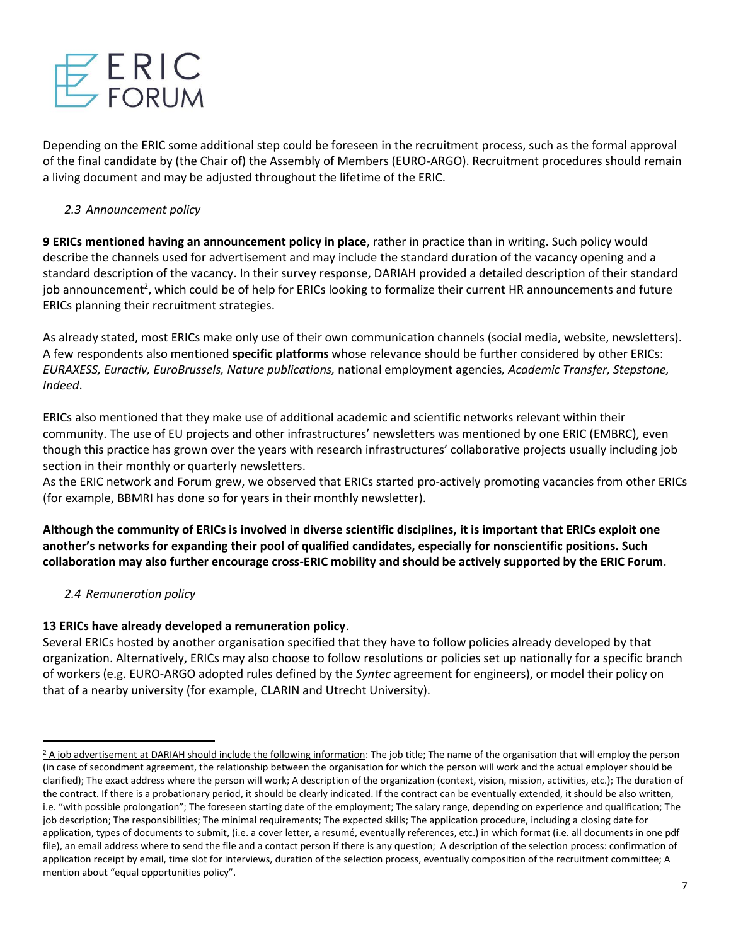

Depending on the ERIC some additional step could be foreseen in the recruitment process, such as the formal approval of the final candidate by (the Chair of) the Assembly of Members (EURO-ARGO). Recruitment procedures should remain a living document and may be adjusted throughout the lifetime of the ERIC.

## *2.3 Announcement policy*

**9 ERICs mentioned having an announcement policy in place**, rather in practice than in writing. Such policy would describe the channels used for advertisement and may include the standard duration of the vacancy opening and a standard description of the vacancy. In their survey response, DARIAH provided a detailed description of their standard job announcement<sup>2</sup>, which could be of help for ERICs looking to formalize their current HR announcements and future ERICs planning their recruitment strategies.

As already stated, most ERICs make only use of their own communication channels (social media, website, newsletters). A few respondents also mentioned **specific platforms** whose relevance should be further considered by other ERICs: *EURAXESS, Euractiv, EuroBrussels, Nature publications,* national employment agencies*, Academic Transfer, Stepstone, Indeed*.

ERICs also mentioned that they make use of additional academic and scientific networks relevant within their community. The use of EU projects and other infrastructures' newsletters was mentioned by one ERIC (EMBRC), even though this practice has grown over the years with research infrastructures' collaborative projects usually including job section in their monthly or quarterly newsletters.

As the ERIC network and Forum grew, we observed that ERICs started pro-actively promoting vacancies from other ERICs (for example, BBMRI has done so for years in their monthly newsletter).

**Although the community of ERICs is involved in diverse scientific disciplines, it is important that ERICs exploit one another's networks for expanding their pool of qualified candidates, especially for nonscientific positions. Such collaboration may also further encourage cross-ERIC mobility and should be actively supported by the ERIC Forum**.

*2.4 Remuneration policy* 

# **13 ERICs have already developed a remuneration policy**.

Several ERICs hosted by another organisation specified that they have to follow policies already developed by that organization. Alternatively, ERICs may also choose to follow resolutions or policies set up nationally for a specific branch of workers (e.g. EURO-ARGO adopted rules defined by the *Syntec* agreement for engineers), or model their policy on that of a nearby university (for example, CLARIN and Utrecht University).

 $2$  A job advertisement at DARIAH should include the following information: The job title; The name of the organisation that will employ the person (in case of secondment agreement, the relationship between the organisation for which the person will work and the actual employer should be clarified); The exact address where the person will work; A description of the organization (context, vision, mission, activities, etc.); The duration of the contract. If there is a probationary period, it should be clearly indicated. If the contract can be eventually extended, it should be also written, i.e. "with possible prolongation"; The foreseen starting date of the employment; The salary range, depending on experience and qualification; The job description; The responsibilities; The minimal requirements; The expected skills; The application procedure, including a closing date for application, types of documents to submit, (i.e. a cover letter, a resumé, eventually references, etc.) in which format (i.e. all documents in one pdf file), an email address where to send the file and a contact person if there is any question; A description of the selection process: confirmation of application receipt by email, time slot for interviews, duration of the selection process, eventually composition of the recruitment committee; A mention about "equal opportunities policy".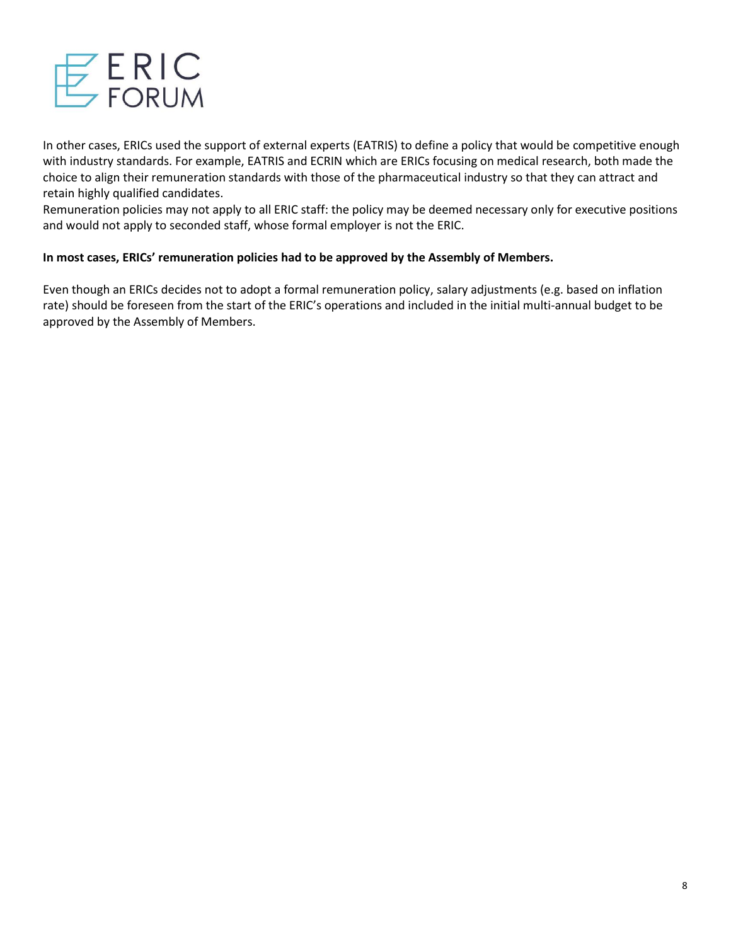

In other cases, ERICs used the support of external experts (EATRIS) to define a policy that would be competitive enough with industry standards. For example, EATRIS and ECRIN which are ERICs focusing on medical research, both made the choice to align their remuneration standards with those of the pharmaceutical industry so that they can attract and retain highly qualified candidates.

Remuneration policies may not apply to all ERIC staff: the policy may be deemed necessary only for executive positions and would not apply to seconded staff, whose formal employer is not the ERIC.

## **In most cases, ERICs' remuneration policies had to be approved by the Assembly of Members.**

Even though an ERICs decides not to adopt a formal remuneration policy, salary adjustments (e.g. based on inflation rate) should be foreseen from the start of the ERIC's operations and included in the initial multi-annual budget to be approved by the Assembly of Members.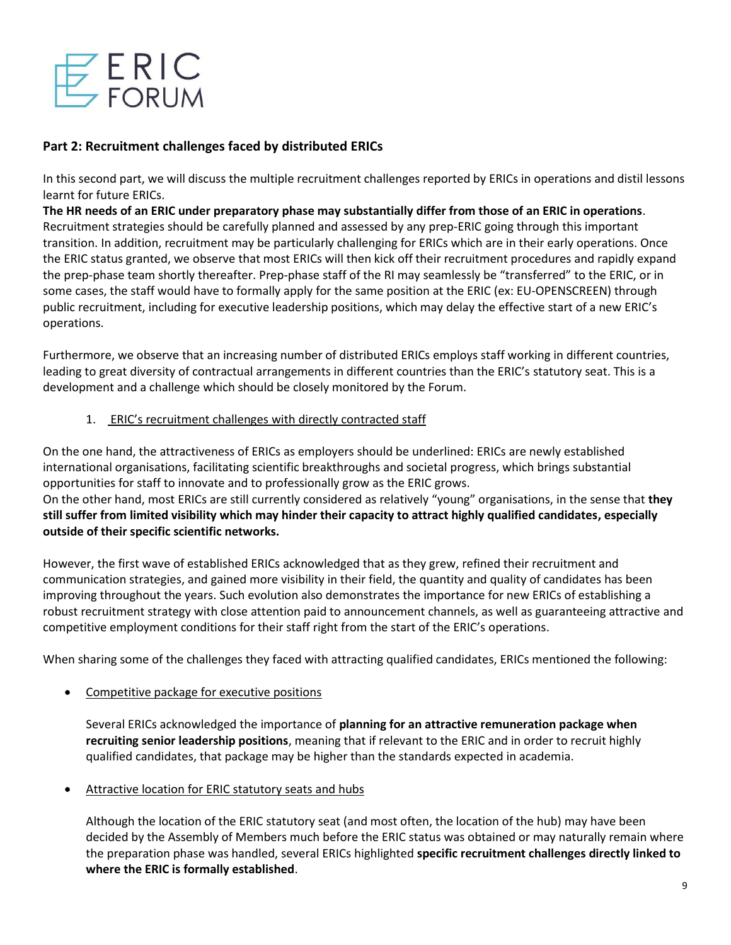

# **Part 2: Recruitment challenges faced by distributed ERICs**

In this second part, we will discuss the multiple recruitment challenges reported by ERICs in operations and distil lessons learnt for future ERICs.

**The HR needs of an ERIC under preparatory phase may substantially differ from those of an ERIC in operations**. Recruitment strategies should be carefully planned and assessed by any prep-ERIC going through this important transition. In addition, recruitment may be particularly challenging for ERICs which are in their early operations. Once the ERIC status granted, we observe that most ERICs will then kick off their recruitment procedures and rapidly expand the prep-phase team shortly thereafter. Prep-phase staff of the RI may seamlessly be "transferred" to the ERIC, or in some cases, the staff would have to formally apply for the same position at the ERIC (ex: EU-OPENSCREEN) through public recruitment, including for executive leadership positions, which may delay the effective start of a new ERIC's operations.

Furthermore, we observe that an increasing number of distributed ERICs employs staff working in different countries, leading to great diversity of contractual arrangements in different countries than the ERIC's statutory seat. This is a development and a challenge which should be closely monitored by the Forum.

## 1. ERIC's recruitment challenges with directly contracted staff

On the one hand, the attractiveness of ERICs as employers should be underlined: ERICs are newly established international organisations, facilitating scientific breakthroughs and societal progress, which brings substantial opportunities for staff to innovate and to professionally grow as the ERIC grows.

On the other hand, most ERICs are still currently considered as relatively "young" organisations, in the sense that **they still suffer from limited visibility which may hinder their capacity to attract highly qualified candidates, especially outside of their specific scientific networks.**

However, the first wave of established ERICs acknowledged that as they grew, refined their recruitment and communication strategies, and gained more visibility in their field, the quantity and quality of candidates has been improving throughout the years. Such evolution also demonstrates the importance for new ERICs of establishing a robust recruitment strategy with close attention paid to announcement channels, as well as guaranteeing attractive and competitive employment conditions for their staff right from the start of the ERIC's operations.

When sharing some of the challenges they faced with attracting qualified candidates, ERICs mentioned the following:

• Competitive package for executive positions

Several ERICs acknowledged the importance of **planning for an attractive remuneration package when recruiting senior leadership positions**, meaning that if relevant to the ERIC and in order to recruit highly qualified candidates, that package may be higher than the standards expected in academia.

• Attractive location for ERIC statutory seats and hubs

Although the location of the ERIC statutory seat (and most often, the location of the hub) may have been decided by the Assembly of Members much before the ERIC status was obtained or may naturally remain where the preparation phase was handled, several ERICs highlighted **specific recruitment challenges directly linked to where the ERIC is formally established**.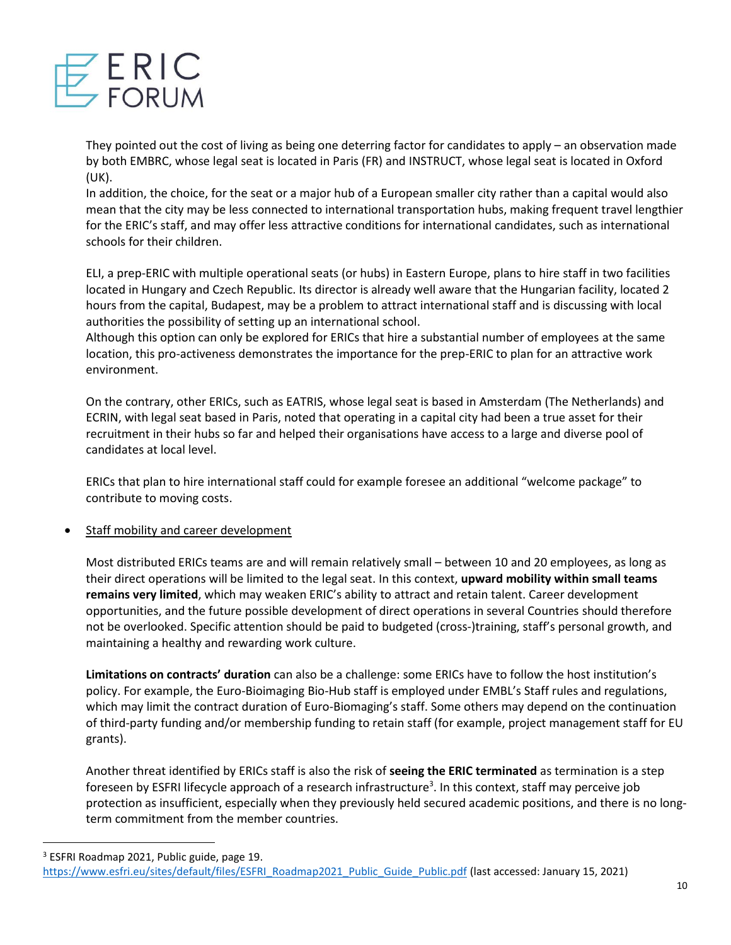

They pointed out the cost of living as being one deterring factor for candidates to apply – an observation made by both EMBRC, whose legal seat is located in Paris (FR) and INSTRUCT, whose legal seat is located in Oxford (UK).

In addition, the choice, for the seat or a major hub of a European smaller city rather than a capital would also mean that the city may be less connected to international transportation hubs, making frequent travel lengthier for the ERIC's staff, and may offer less attractive conditions for international candidates, such as international schools for their children.

ELI, a prep-ERIC with multiple operational seats (or hubs) in Eastern Europe, plans to hire staff in two facilities located in Hungary and Czech Republic. Its director is already well aware that the Hungarian facility, located 2 hours from the capital, Budapest, may be a problem to attract international staff and is discussing with local authorities the possibility of setting up an international school.

Although this option can only be explored for ERICs that hire a substantial number of employees at the same location, this pro-activeness demonstrates the importance for the prep-ERIC to plan for an attractive work environment.

On the contrary, other ERICs, such as EATRIS, whose legal seat is based in Amsterdam (The Netherlands) and ECRIN, with legal seat based in Paris, noted that operating in a capital city had been a true asset for their recruitment in their hubs so far and helped their organisations have access to a large and diverse pool of candidates at local level.

ERICs that plan to hire international staff could for example foresee an additional "welcome package" to contribute to moving costs.

Staff mobility and career development

Most distributed ERICs teams are and will remain relatively small – between 10 and 20 employees, as long as their direct operations will be limited to the legal seat. In this context, **upward mobility within small teams remains very limited**, which may weaken ERIC's ability to attract and retain talent. Career development opportunities, and the future possible development of direct operations in several Countries should therefore not be overlooked. Specific attention should be paid to budgeted (cross-)training, staff's personal growth, and maintaining a healthy and rewarding work culture.

**Limitations on contracts' duration** can also be a challenge: some ERICs have to follow the host institution's policy. For example, the Euro-Bioimaging Bio-Hub staff is employed under EMBL's Staff rules and regulations, which may limit the contract duration of Euro-Biomaging's staff. Some others may depend on the continuation of third-party funding and/or membership funding to retain staff (for example, project management staff for EU grants).

Another threat identified by ERICs staff is also the risk of **seeing the ERIC terminated** as termination is a step foreseen by ESFRI lifecycle approach of a research infrastructure<sup>3</sup>. In this context, staff may perceive job protection as insufficient, especially when they previously held secured academic positions, and there is no longterm commitment from the member countries.

<sup>3</sup> ESFRI Roadmap 2021, Public guide, page 19.

[https://www.esfri.eu/sites/default/files/ESFRI\\_Roadmap2021\\_Public\\_Guide\\_Public.pdf](https://www.esfri.eu/sites/default/files/ESFRI_Roadmap2021_Public_Guide_Public.pdf) (last accessed: January 15, 2021)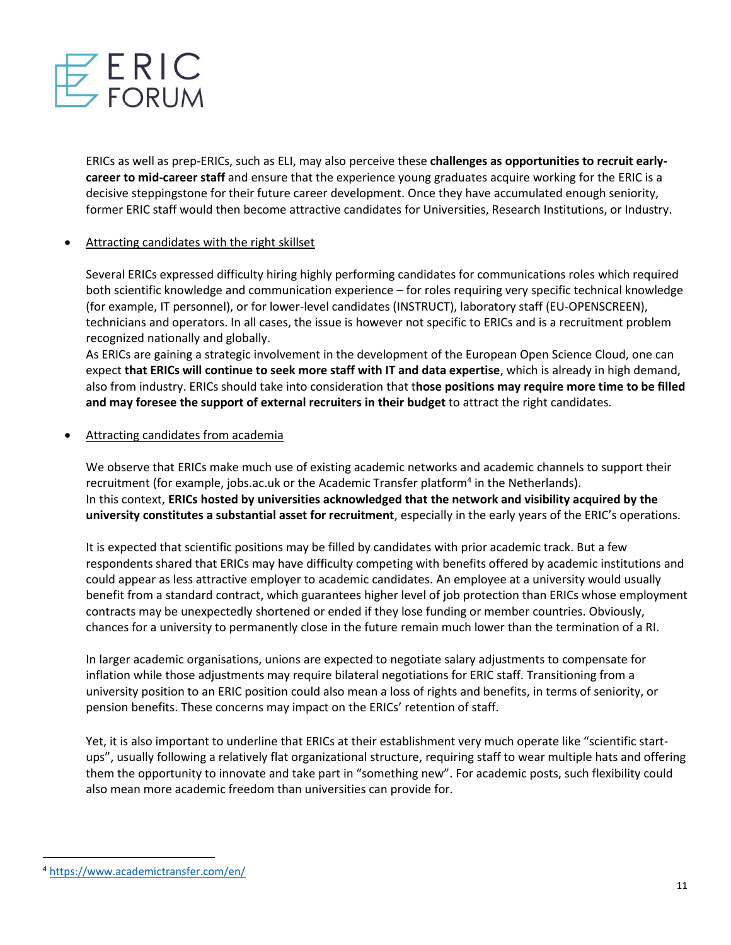

ERICs as well as prep-ERICs, such as ELI, may also perceive these **challenges as opportunities to recruit earlycareer to mid-career staff** and ensure that the experience young graduates acquire working for the ERIC is a decisive steppingstone for their future career development. Once they have accumulated enough seniority, former ERIC staff would then become attractive candidates for Universities, Research Institutions, or Industry.

## • Attracting candidates with the right skillset

Several ERICs expressed difficulty hiring highly performing candidates for communications roles which required both scientific knowledge and communication experience – for roles requiring very specific technical knowledge (for example, IT personnel), or for lower-level candidates (INSTRUCT), laboratory staff (EU-OPENSCREEN), technicians and operators. In all cases, the issue is however not specific to ERICs and is a recruitment problem recognized nationally and globally.

As ERICs are gaining a strategic involvement in the development of the European Open Science Cloud, one can expect **that ERICs will continue to seek more staff with IT and data expertise**, which is already in high demand, also from industry. ERICs should take into consideration that t**hose positions may require more time to be filled and may foresee the support of external recruiters in their budget** to attract the right candidates.

## Attracting candidates from academia

We observe that ERICs make much use of existing academic networks and academic channels to support their recruitment (for example, jobs.ac.uk or the Academic Transfer platform<sup>4</sup> in the Netherlands). In this context, **ERICs hosted by universities acknowledged that the network and visibility acquired by the university constitutes a substantial asset for recruitment**, especially in the early years of the ERIC's operations.

It is expected that scientific positions may be filled by candidates with prior academic track. But a few respondents shared that ERICs may have difficulty competing with benefits offered by academic institutions and could appear as less attractive employer to academic candidates. An employee at a university would usually benefit from a standard contract, which guarantees higher level of job protection than ERICs whose employment contracts may be unexpectedly shortened or ended if they lose funding or member countries. Obviously, chances for a university to permanently close in the future remain much lower than the termination of a RI.

In larger academic organisations, unions are expected to negotiate salary adjustments to compensate for inflation while those adjustments may require bilateral negotiations for ERIC staff. Transitioning from a university position to an ERIC position could also mean a loss of rights and benefits, in terms of seniority, or pension benefits. These concerns may impact on the ERICs' retention of staff.

Yet, it is also important to underline that ERICs at their establishment very much operate like "scientific startups", usually following a relatively flat organizational structure, requiring staff to wear multiple hats and offering them the opportunity to innovate and take part in "something new". For academic posts, such flexibility could also mean more academic freedom than universities can provide for.

<sup>4</sup> <https://www.academictransfer.com/en/>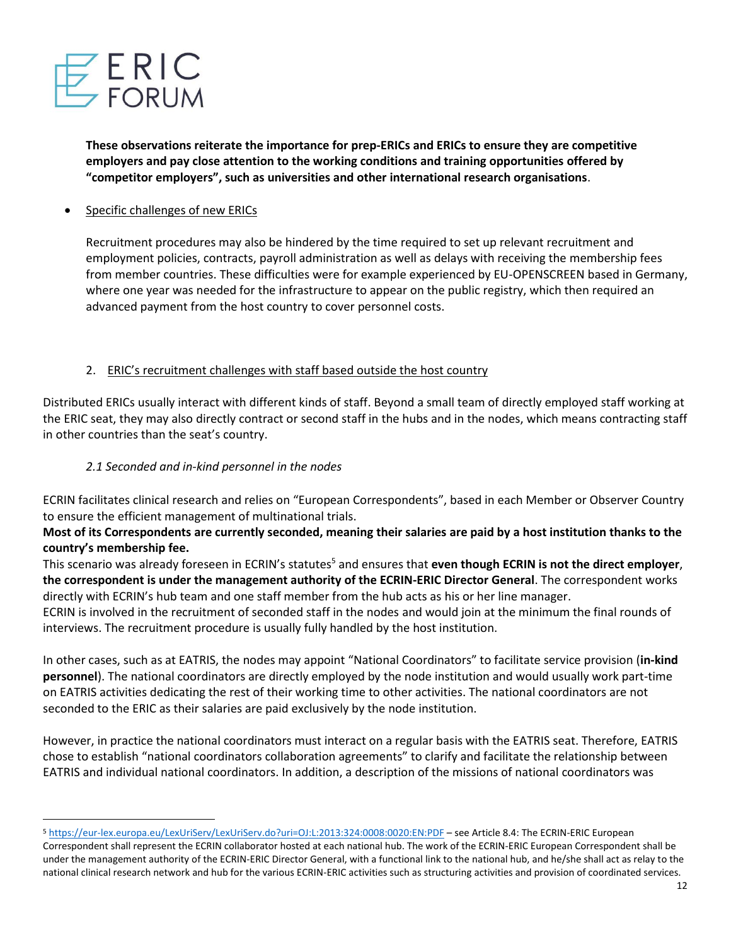

**These observations reiterate the importance for prep-ERICs and ERICs to ensure they are competitive employers and pay close attention to the working conditions and training opportunities offered by "competitor employers", such as universities and other international research organisations**.

• Specific challenges of new ERICs

Recruitment procedures may also be hindered by the time required to set up relevant recruitment and employment policies, contracts, payroll administration as well as delays with receiving the membership fees from member countries. These difficulties were for example experienced by EU-OPENSCREEN based in Germany, where one year was needed for the infrastructure to appear on the public registry, which then required an advanced payment from the host country to cover personnel costs.

## 2. ERIC's recruitment challenges with staff based outside the host country

Distributed ERICs usually interact with different kinds of staff. Beyond a small team of directly employed staff working at the ERIC seat, they may also directly contract or second staff in the hubs and in the nodes, which means contracting staff in other countries than the seat's country.

### *2.1 Seconded and in-kind personnel in the nodes*

ECRIN facilitates clinical research and relies on "European Correspondents", based in each Member or Observer Country to ensure the efficient management of multinational trials.

## **Most of its Correspondents are currently seconded, meaning their salaries are paid by a host institution thanks to the country's membership fee.**

This scenario was already foreseen in ECRIN's statutes<sup>5</sup> and ensures that **even though ECRIN is not the direct employer**, **the correspondent is under the management authority of the ECRIN-ERIC Director General**. The correspondent works directly with ECRIN's hub team and one staff member from the hub acts as his or her line manager.

ECRIN is involved in the recruitment of seconded staff in the nodes and would join at the minimum the final rounds of interviews. The recruitment procedure is usually fully handled by the host institution.

In other cases, such as at EATRIS, the nodes may appoint "National Coordinators" to facilitate service provision (**in-kind personnel**). The national coordinators are directly employed by the node institution and would usually work part-time on EATRIS activities dedicating the rest of their working time to other activities. The national coordinators are not seconded to the ERIC as their salaries are paid exclusively by the node institution.

However, in practice the national coordinators must interact on a regular basis with the EATRIS seat. Therefore, EATRIS chose to establish "national coordinators collaboration agreements" to clarify and facilitate the relationship between EATRIS and individual national coordinators. In addition, a description of the missions of national coordinators was

<sup>5</sup> <https://eur-lex.europa.eu/LexUriServ/LexUriServ.do?uri=OJ:L:2013:324:0008:0020:EN:PDF> – see Article 8.4: The ECRIN-ERIC European Correspondent shall represent the ECRIN collaborator hosted at each national hub. The work of the ECRIN-ERIC European Correspondent shall be under the management authority of the ECRIN-ERIC Director General, with a functional link to the national hub, and he/she shall act as relay to the national clinical research network and hub for the various ECRIN-ERIC activities such as structuring activities and provision of coordinated services.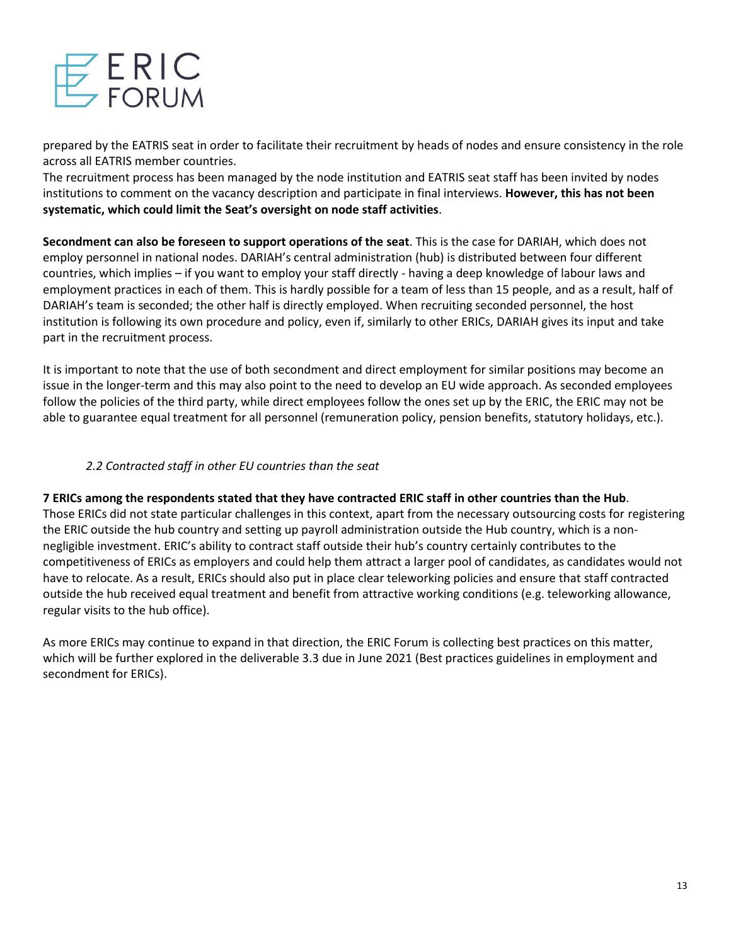

prepared by the EATRIS seat in order to facilitate their recruitment by heads of nodes and ensure consistency in the role across all EATRIS member countries.

The recruitment process has been managed by the node institution and EATRIS seat staff has been invited by nodes institutions to comment on the vacancy description and participate in final interviews. **However, this has not been systematic, which could limit the Seat's oversight on node staff activities**.

**Secondment can also be foreseen to support operations of the seat**. This is the case for DARIAH, which does not employ personnel in national nodes. DARIAH's central administration (hub) is distributed between four different countries, which implies – if you want to employ your staff directly - having a deep knowledge of labour laws and employment practices in each of them. This is hardly possible for a team of less than 15 people, and as a result, half of DARIAH's team is seconded; the other half is directly employed. When recruiting seconded personnel, the host institution is following its own procedure and policy, even if, similarly to other ERICs, DARIAH gives its input and take part in the recruitment process.

It is important to note that the use of both secondment and direct employment for similar positions may become an issue in the longer-term and this may also point to the need to develop an EU wide approach. As seconded employees follow the policies of the third party, while direct employees follow the ones set up by the ERIC, the ERIC may not be able to guarantee equal treatment for all personnel (remuneration policy, pension benefits, statutory holidays, etc.).

## *2.2 Contracted staff in other EU countries than the seat*

**7 ERICs among the respondents stated that they have contracted ERIC staff in other countries than the Hub**. Those ERICs did not state particular challenges in this context, apart from the necessary outsourcing costs for registering the ERIC outside the hub country and setting up payroll administration outside the Hub country, which is a nonnegligible investment. ERIC's ability to contract staff outside their hub's country certainly contributes to the competitiveness of ERICs as employers and could help them attract a larger pool of candidates, as candidates would not have to relocate. As a result, ERICs should also put in place clear teleworking policies and ensure that staff contracted outside the hub received equal treatment and benefit from attractive working conditions (e.g. teleworking allowance, regular visits to the hub office).

As more ERICs may continue to expand in that direction, the ERIC Forum is collecting best practices on this matter, which will be further explored in the deliverable 3.3 due in June 2021 (Best practices guidelines in employment and secondment for ERICs).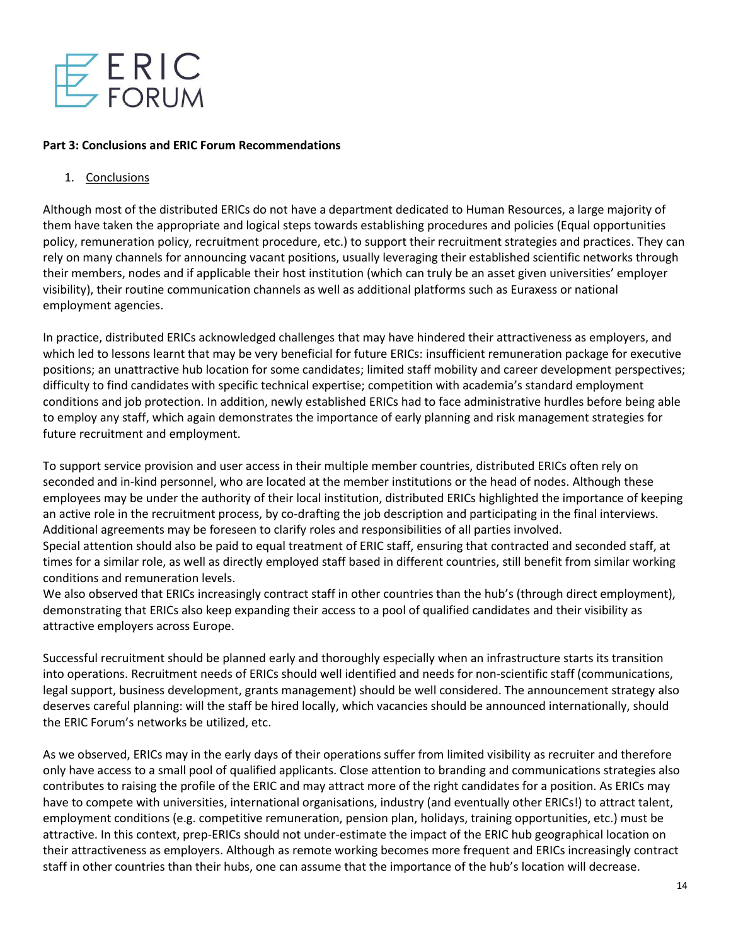

### **Part 3: Conclusions and ERIC Forum Recommendations**

### 1. Conclusions

Although most of the distributed ERICs do not have a department dedicated to Human Resources, a large majority of them have taken the appropriate and logical steps towards establishing procedures and policies (Equal opportunities policy, remuneration policy, recruitment procedure, etc.) to support their recruitment strategies and practices. They can rely on many channels for announcing vacant positions, usually leveraging their established scientific networks through their members, nodes and if applicable their host institution (which can truly be an asset given universities' employer visibility), their routine communication channels as well as additional platforms such as Euraxess or national employment agencies.

In practice, distributed ERICs acknowledged challenges that may have hindered their attractiveness as employers, and which led to lessons learnt that may be very beneficial for future ERICs: insufficient remuneration package for executive positions; an unattractive hub location for some candidates; limited staff mobility and career development perspectives; difficulty to find candidates with specific technical expertise; competition with academia's standard employment conditions and job protection. In addition, newly established ERICs had to face administrative hurdles before being able to employ any staff, which again demonstrates the importance of early planning and risk management strategies for future recruitment and employment.

To support service provision and user access in their multiple member countries, distributed ERICs often rely on seconded and in-kind personnel, who are located at the member institutions or the head of nodes. Although these employees may be under the authority of their local institution, distributed ERICs highlighted the importance of keeping an active role in the recruitment process, by co-drafting the job description and participating in the final interviews. Additional agreements may be foreseen to clarify roles and responsibilities of all parties involved.

Special attention should also be paid to equal treatment of ERIC staff, ensuring that contracted and seconded staff, at times for a similar role, as well as directly employed staff based in different countries, still benefit from similar working conditions and remuneration levels.

We also observed that ERICs increasingly contract staff in other countries than the hub's (through direct employment), demonstrating that ERICs also keep expanding their access to a pool of qualified candidates and their visibility as attractive employers across Europe.

Successful recruitment should be planned early and thoroughly especially when an infrastructure starts its transition into operations. Recruitment needs of ERICs should well identified and needs for non-scientific staff (communications, legal support, business development, grants management) should be well considered. The announcement strategy also deserves careful planning: will the staff be hired locally, which vacancies should be announced internationally, should the ERIC Forum's networks be utilized, etc.

As we observed, ERICs may in the early days of their operations suffer from limited visibility as recruiter and therefore only have access to a small pool of qualified applicants. Close attention to branding and communications strategies also contributes to raising the profile of the ERIC and may attract more of the right candidates for a position. As ERICs may have to compete with universities, international organisations, industry (and eventually other ERICs!) to attract talent, employment conditions (e.g. competitive remuneration, pension plan, holidays, training opportunities, etc.) must be attractive. In this context, prep-ERICs should not under-estimate the impact of the ERIC hub geographical location on their attractiveness as employers. Although as remote working becomes more frequent and ERICs increasingly contract staff in other countries than their hubs, one can assume that the importance of the hub's location will decrease.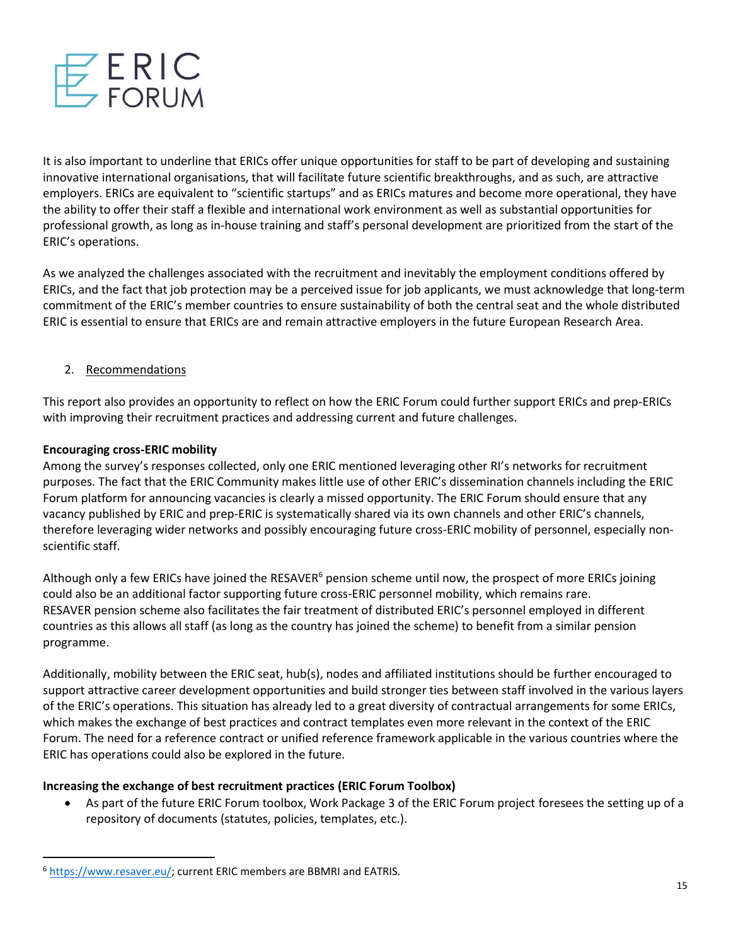

It is also important to underline that ERICs offer unique opportunities for staff to be part of developing and sustaining innovative international organisations, that will facilitate future scientific breakthroughs, and as such, are attractive employers. ERICs are equivalent to "scientific startups" and as ERICs matures and become more operational, they have the ability to offer their staff a flexible and international work environment as well as substantial opportunities for professional growth, as long as in-house training and staff's personal development are prioritized from the start of the ERIC's operations.

As we analyzed the challenges associated with the recruitment and inevitably the employment conditions offered by ERICs, and the fact that job protection may be a perceived issue for job applicants, we must acknowledge that long-term commitment of the ERIC's member countries to ensure sustainability of both the central seat and the whole distributed ERIC is essential to ensure that ERICs are and remain attractive employers in the future European Research Area.

## 2. Recommendations

This report also provides an opportunity to reflect on how the ERIC Forum could further support ERICs and prep-ERICs with improving their recruitment practices and addressing current and future challenges.

## **Encouraging cross-ERIC mobility**

Among the survey's responses collected, only one ERIC mentioned leveraging other RI's networks for recruitment purposes. The fact that the ERIC Community makes little use of other ERIC's dissemination channels including the ERIC Forum platform for announcing vacancies is clearly a missed opportunity. The ERIC Forum should ensure that any vacancy published by ERIC and prep-ERIC is systematically shared via its own channels and other ERIC's channels, therefore leveraging wider networks and possibly encouraging future cross-ERIC mobility of personnel, especially nonscientific staff.

Although only a few ERICs have joined the RESAVER<sup>6</sup> pension scheme until now, the prospect of more ERICs joining could also be an additional factor supporting future cross-ERIC personnel mobility, which remains rare. RESAVER pension scheme also facilitates the fair treatment of distributed ERIC's personnel employed in different countries as this allows all staff (as long as the country has joined the scheme) to benefit from a similar pension programme.

Additionally, mobility between the ERIC seat, hub(s), nodes and affiliated institutions should be further encouraged to support attractive career development opportunities and build stronger ties between staff involved in the various layers of the ERIC's operations. This situation has already led to a great diversity of contractual arrangements for some ERICs, which makes the exchange of best practices and contract templates even more relevant in the context of the ERIC Forum. The need for a reference contract or unified reference framework applicable in the various countries where the ERIC has operations could also be explored in the future.

## **Increasing the exchange of best recruitment practices (ERIC Forum Toolbox)**

• As part of the future ERIC Forum toolbox, Work Package 3 of the ERIC Forum project foresees the setting up of a repository of documents (statutes, policies, templates, etc.).

<sup>6</sup> [https://www.resaver.eu/;](https://www.resaver.eu/) current ERIC members are BBMRI and EATRIS.